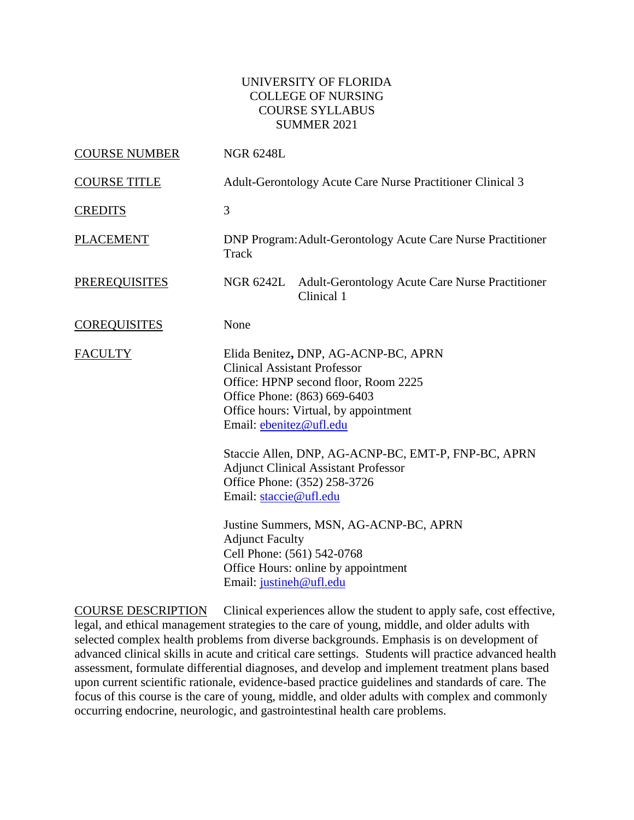### UNIVERSITY OF FLORIDA COLLEGE OF NURSING COURSE SYLLABUS SUMMER 2021

| <b>COURSE NUMBER</b> | <b>NGR 6248L</b>                                                                                                                                                                                                        |  |  |
|----------------------|-------------------------------------------------------------------------------------------------------------------------------------------------------------------------------------------------------------------------|--|--|
| <b>COURSE TITLE</b>  | Adult-Gerontology Acute Care Nurse Practitioner Clinical 3                                                                                                                                                              |  |  |
| <b>CREDITS</b>       | 3                                                                                                                                                                                                                       |  |  |
| <b>PLACEMENT</b>     | DNP Program: Adult-Gerontology Acute Care Nurse Practitioner<br>Track                                                                                                                                                   |  |  |
| <b>PREREQUISITES</b> | <b>Adult-Gerontology Acute Care Nurse Practitioner</b><br>NGR 6242L<br>Clinical 1                                                                                                                                       |  |  |
| <b>COREQUISITES</b>  | None                                                                                                                                                                                                                    |  |  |
| <b>FACULTY</b>       | Elida Benitez, DNP, AG-ACNP-BC, APRN<br><b>Clinical Assistant Professor</b><br>Office: HPNP second floor, Room 2225<br>Office Phone: (863) 669-6403<br>Office hours: Virtual, by appointment<br>Email: ebenitez@ufl.edu |  |  |
|                      | Staccie Allen, DNP, AG-ACNP-BC, EMT-P, FNP-BC, APRN<br><b>Adjunct Clinical Assistant Professor</b><br>Office Phone: (352) 258-3726<br>Email: staccie@ufl.edu                                                            |  |  |
|                      | Justine Summers, MSN, AG-ACNP-BC, APRN<br><b>Adjunct Faculty</b><br>Cell Phone: (561) 542-0768<br>Office Hours: online by appointment<br>Email: justineh@ufl.edu                                                        |  |  |

COURSE DESCRIPTION Clinical experiences allow the student to apply safe, cost effective, legal, and ethical management strategies to the care of young, middle, and older adults with selected complex health problems from diverse backgrounds. Emphasis is on development of advanced clinical skills in acute and critical care settings. Students will practice advanced health assessment, formulate differential diagnoses, and develop and implement treatment plans based upon current scientific rationale, evidence-based practice guidelines and standards of care. The focus of this course is the care of young, middle, and older adults with complex and commonly occurring endocrine, neurologic, and gastrointestinal health care problems.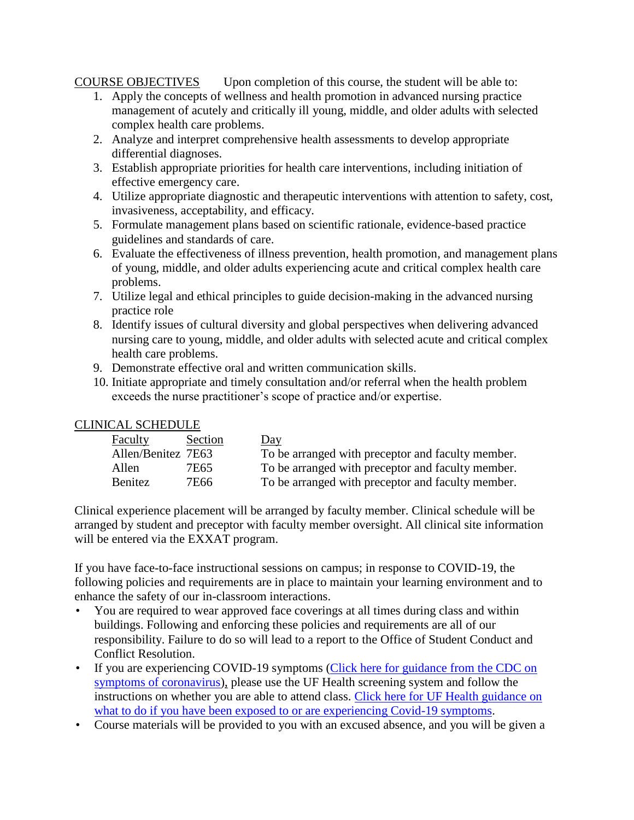## COURSE OBJECTIVES Upon completion of this course, the student will be able to:

- 1. Apply the concepts of wellness and health promotion in advanced nursing practice management of acutely and critically ill young, middle, and older adults with selected complex health care problems.
- 2. Analyze and interpret comprehensive health assessments to develop appropriate differential diagnoses.
- 3. Establish appropriate priorities for health care interventions, including initiation of effective emergency care.
- 4. Utilize appropriate diagnostic and therapeutic interventions with attention to safety, cost, invasiveness, acceptability, and efficacy.
- 5. Formulate management plans based on scientific rationale, evidence-based practice guidelines and standards of care.
- 6. Evaluate the effectiveness of illness prevention, health promotion, and management plans of young, middle, and older adults experiencing acute and critical complex health care problems.
- 7. Utilize legal and ethical principles to guide decision-making in the advanced nursing practice role
- 8. Identify issues of cultural diversity and global perspectives when delivering advanced nursing care to young, middle, and older adults with selected acute and critical complex health care problems.
- 9. Demonstrate effective oral and written communication skills.
- 10. Initiate appropriate and timely consultation and/or referral when the health problem exceeds the nurse practitioner's scope of practice and/or expertise.

## CLINICAL SCHEDULE

| Faculty            | Section | <u>Day</u>                                        |
|--------------------|---------|---------------------------------------------------|
| Allen/Benitez 7E63 |         | To be arranged with preceptor and faculty member. |
| Allen              | 7E65    | To be arranged with preceptor and faculty member. |
| Benitez            | 7E66    | To be arranged with preceptor and faculty member. |

Clinical experience placement will be arranged by faculty member. Clinical schedule will be arranged by student and preceptor with faculty member oversight. All clinical site information will be entered via the EXXAT program.

If you have face-to-face instructional sessions on campus; in response to COVID-19, the following policies and requirements are in place to maintain your learning environment and to enhance the safety of our in-classroom interactions.

- You are required to wear approved face coverings at all times during class and within buildings. Following and enforcing these policies and requirements are all of our responsibility. Failure to do so will lead to a report to the Office of Student Conduct and Conflict Resolution.
- If you are experiencing COVID-19 symptoms [\(Click here for guidance from the CDC on](https://www.cdc.gov/coronavirus/2019-ncov/symptoms-testing/symptoms.html)  [symptoms of coronavirus\)](https://www.cdc.gov/coronavirus/2019-ncov/symptoms-testing/symptoms.html), please use the UF Health screening system and follow the instructions on whether you are able to attend class. [Click here for UF Health guidance on](https://coronavirus.ufhealth.org/screen-test-protect/covid-19-exposure-and-symptoms-who-do-i-call-if/)  [what to do if you have been exposed to or are experiencing Covid-19 symptoms.](https://coronavirus.ufhealth.org/screen-test-protect/covid-19-exposure-and-symptoms-who-do-i-call-if/)
- Course materials will be provided to you with an excused absence, and you will be given a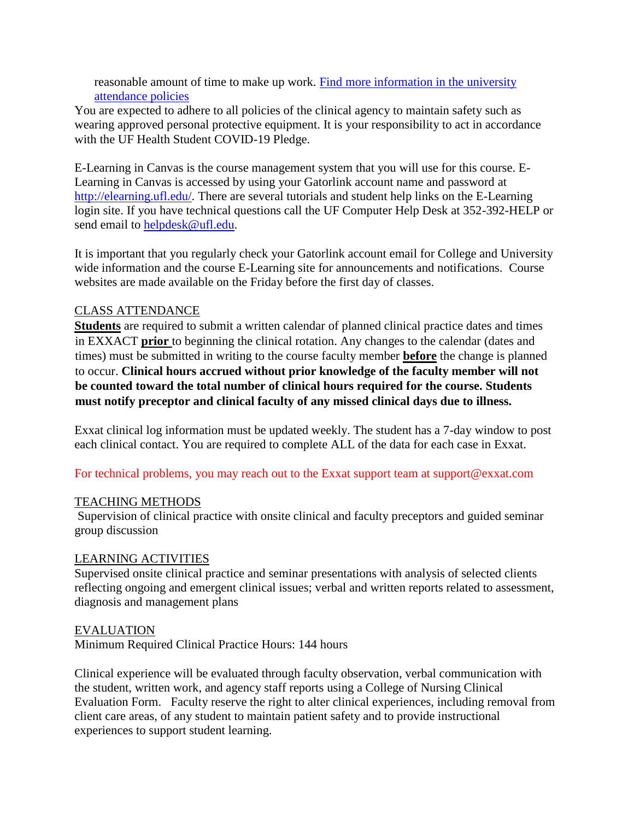reasonable amount of time to make up work. Find more information in the university [attendance policies](https://catalog.ufl.edu/UGRD/academic-regulations/attendance-policies/)

You are expected to adhere to all policies of the clinical agency to maintain safety such as wearing approved personal protective equipment. It is your responsibility to act in accordance with the UF Health Student COVID-19 Pledge.

E-Learning in Canvas is the course management system that you will use for this course. E-Learning in Canvas is accessed by using your Gatorlink account name and password at [http://elearning.ufl.edu/.](http://elearning.ufl.edu/) There are several tutorials and student help links on the E-Learning login site. If you have technical questions call the UF Computer Help Desk at 352-392-HELP or send email to [helpdesk@ufl.edu.](mailto:helpdesk@ufl.edu)

It is important that you regularly check your Gatorlink account email for College and University wide information and the course E-Learning site for announcements and notifications. Course websites are made available on the Friday before the first day of classes.

# CLASS ATTENDANCE

**Students** are required to submit a written calendar of planned clinical practice dates and times in EXXACT **prior** to beginning the clinical rotation. Any changes to the calendar (dates and times) must be submitted in writing to the course faculty member **before** the change is planned to occur. **Clinical hours accrued without prior knowledge of the faculty member will not be counted toward the total number of clinical hours required for the course. Students must notify preceptor and clinical faculty of any missed clinical days due to illness.**

Exxat clinical log information must be updated weekly. The student has a 7-day window to post each clinical contact. You are required to complete ALL of the data for each case in Exxat.

For technical problems, you may reach out to the Exxat support team at support@exxat.com

## TEACHING METHODS

Supervision of clinical practice with onsite clinical and faculty preceptors and guided seminar group discussion

## LEARNING ACTIVITIES

Supervised onsite clinical practice and seminar presentations with analysis of selected clients reflecting ongoing and emergent clinical issues; verbal and written reports related to assessment, diagnosis and management plans

## EVALUATION

Minimum Required Clinical Practice Hours: 144 hours

Clinical experience will be evaluated through faculty observation, verbal communication with the student, written work, and agency staff reports using a College of Nursing Clinical Evaluation Form. Faculty reserve the right to alter clinical experiences, including removal from client care areas, of any student to maintain patient safety and to provide instructional experiences to support student learning.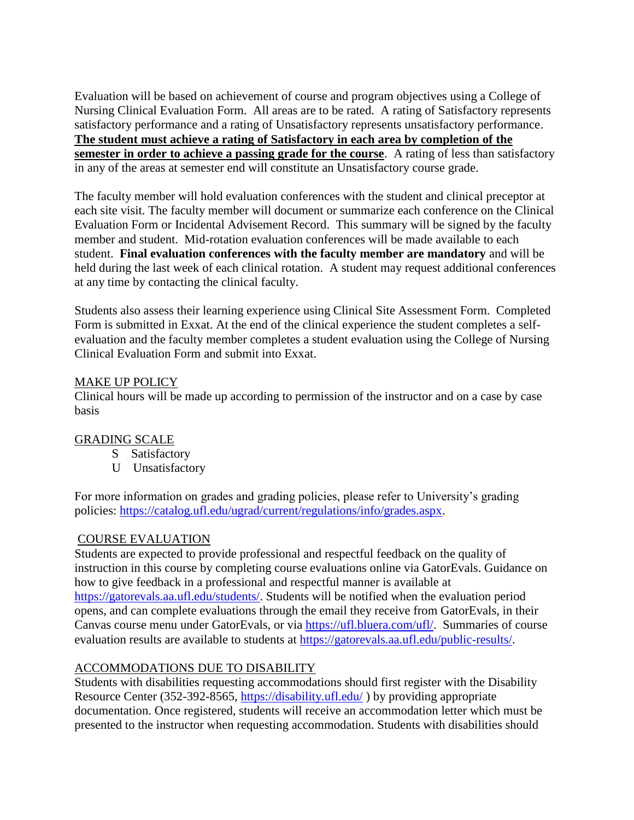Evaluation will be based on achievement of course and program objectives using a College of Nursing Clinical Evaluation Form. All areas are to be rated. A rating of Satisfactory represents satisfactory performance and a rating of Unsatisfactory represents unsatisfactory performance. **The student must achieve a rating of Satisfactory in each area by completion of the semester in order to achieve a passing grade for the course**. A rating of less than satisfactory in any of the areas at semester end will constitute an Unsatisfactory course grade.

The faculty member will hold evaluation conferences with the student and clinical preceptor at each site visit. The faculty member will document or summarize each conference on the Clinical Evaluation Form or Incidental Advisement Record. This summary will be signed by the faculty member and student. Mid-rotation evaluation conferences will be made available to each student. **Final evaluation conferences with the faculty member are mandatory** and will be held during the last week of each clinical rotation. A student may request additional conferences at any time by contacting the clinical faculty.

Students also assess their learning experience using Clinical Site Assessment Form. Completed Form is submitted in Exxat. At the end of the clinical experience the student completes a selfevaluation and the faculty member completes a student evaluation using the College of Nursing Clinical Evaluation Form and submit into Exxat.

### MAKE UP POLICY

Clinical hours will be made up according to permission of the instructor and on a case by case basis

## GRADING SCALE

- S Satisfactory
- U Unsatisfactory

For more information on grades and grading policies, please refer to University's grading policies: [https://catalog.ufl.edu/ugrad/current/regulations/info/grades.aspx.](https://catalog.ufl.edu/ugrad/current/regulations/info/grades.aspx)

#### COURSE EVALUATION

Students are expected to provide professional and respectful feedback on the quality of instruction in this course by completing course evaluations online via GatorEvals. Guidance on how to give feedback in a professional and respectful manner is available at [https://gatorevals.aa.ufl.edu/students/.](https://gatorevals.aa.ufl.edu/students/) Students will be notified when the evaluation period opens, and can complete evaluations through the email they receive from GatorEvals, in their Canvas course menu under GatorEvals, or via [https://ufl.bluera.com/ufl/.](https://ufl.bluera.com/ufl/) Summaries of course evaluation results are available to students at [https://gatorevals.aa.ufl.edu/public-results/.](https://gatorevals.aa.ufl.edu/public-results/)

## ACCOMMODATIONS DUE TO DISABILITY

Students with disabilities requesting accommodations should first register with the Disability Resource Center (352-392-8565,<https://disability.ufl.edu/> ) by providing appropriate documentation. Once registered, students will receive an accommodation letter which must be presented to the instructor when requesting accommodation. Students with disabilities should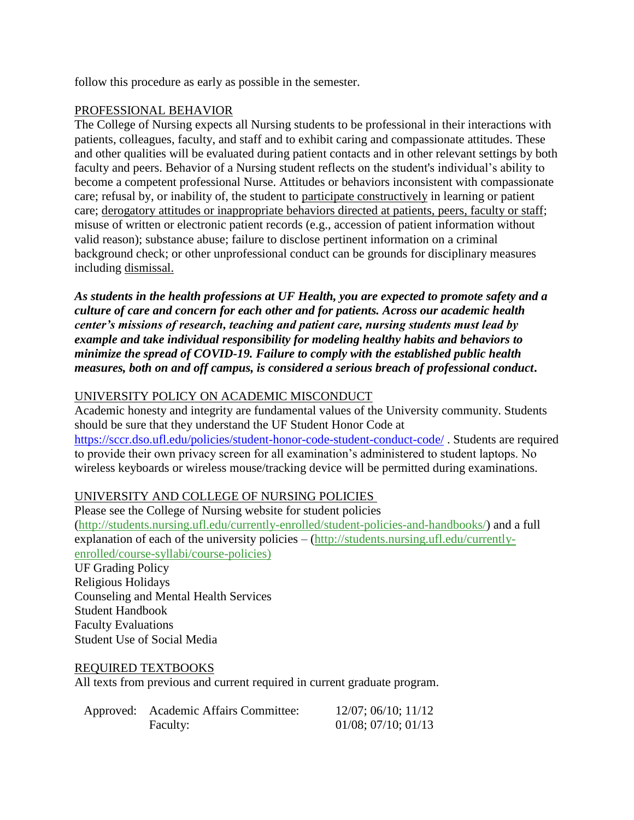follow this procedure as early as possible in the semester.

## PROFESSIONAL BEHAVIOR

The College of Nursing expects all Nursing students to be professional in their interactions with patients, colleagues, faculty, and staff and to exhibit caring and compassionate attitudes. These and other qualities will be evaluated during patient contacts and in other relevant settings by both faculty and peers. Behavior of a Nursing student reflects on the student's individual's ability to become a competent professional Nurse. Attitudes or behaviors inconsistent with compassionate care; refusal by, or inability of, the student to participate constructively in learning or patient care; derogatory attitudes or inappropriate behaviors directed at patients, peers, faculty or staff; misuse of written or electronic patient records (e.g., accession of patient information without valid reason); substance abuse; failure to disclose pertinent information on a criminal background check; or other unprofessional conduct can be grounds for disciplinary measures including dismissal.

*As students in the health professions at UF Health, you are expected to promote safety and a culture of care and concern for each other and for patients. Across our academic health center's missions of research, teaching and patient care, nursing students must lead by example and take individual responsibility for modeling healthy habits and behaviors to minimize the spread of COVID-19. Failure to comply with the established public health measures, both on and off campus, is considered a serious breach of professional conduct***.** 

## UNIVERSITY POLICY ON ACADEMIC MISCONDUCT

Academic honesty and integrity are fundamental values of the University community. Students should be sure that they understand the UF Student Honor Code at <https://sccr.dso.ufl.edu/policies/student-honor-code-student-conduct-code/> . Students are required to provide their own privacy screen for all examination's administered to student laptops. No wireless keyboards or wireless mouse/tracking device will be permitted during examinations.

## UNIVERSITY AND COLLEGE OF NURSING POLICIES

Please see the College of Nursing website for student policies [\(http://students.nursing.ufl.edu/currently-enrolled/student-policies-and-handbooks/\)](http://students.nursing.ufl.edu/currently-enrolled/student-policies-and-handbooks/) and a full explanation of each of the university policies – [\(http://students.nursing.ufl.edu/currently](http://students.nursing.ufl.edu/currently-enrolled/course-syllabi/course-policies)[enrolled/course-syllabi/course-policies\)](http://students.nursing.ufl.edu/currently-enrolled/course-syllabi/course-policies)

UF Grading Policy Religious Holidays Counseling and Mental Health Services Student Handbook Faculty Evaluations Student Use of Social Media

#### REQUIRED TEXTBOOKS

All texts from previous and current required in current graduate program.

| Approved: Academic Affairs Committee: | $12/07$ ; 06/10; 11/12      |
|---------------------------------------|-----------------------------|
| Faculty:                              | $01/08$ ; $07/10$ ; $01/13$ |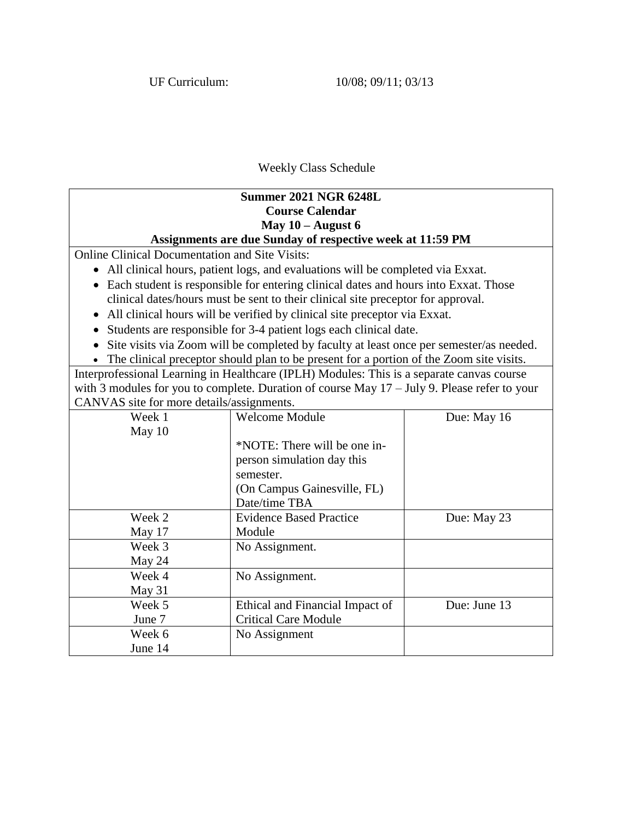## Weekly Class Schedule

# **Summer 2021 NGR 6248L Course Calendar May 10 – August 6 Assignments are due Sunday of respective week at 11:59 PM**

Online Clinical Documentation and Site Visits:

- All clinical hours, patient logs, and evaluations will be completed via Exxat.
- Each student is responsible for entering clinical dates and hours into Exxat. Those clinical dates/hours must be sent to their clinical site preceptor for approval.
- All clinical hours will be verified by clinical site preceptor via Exxat.
- Students are responsible for 3-4 patient logs each clinical date.
- Site visits via Zoom will be completed by faculty at least once per semester/as needed.

• The clinical preceptor should plan to be present for a portion of the Zoom site visits.

Interprofessional Learning in Healthcare (IPLH) Modules: This is a separate canvas course with 3 modules for you to complete. Duration of course May  $17 -$  July 9. Please refer to your CANVAS site for more details/assignments.

| 11 \ \ 1 10 she for more actams/assignments. |                                 |              |
|----------------------------------------------|---------------------------------|--------------|
| Week 1                                       | <b>Welcome Module</b>           | Due: May 16  |
| May 10                                       |                                 |              |
|                                              | *NOTE: There will be one in-    |              |
|                                              | person simulation day this      |              |
|                                              | semester.                       |              |
|                                              | (On Campus Gainesville, FL)     |              |
|                                              | Date/time TBA                   |              |
| Week 2                                       | <b>Evidence Based Practice</b>  | Due: May 23  |
| May 17                                       | Module                          |              |
| Week 3                                       | No Assignment.                  |              |
| May 24                                       |                                 |              |
| Week 4                                       | No Assignment.                  |              |
| May 31                                       |                                 |              |
| Week 5                                       | Ethical and Financial Impact of | Due: June 13 |
| June 7                                       | <b>Critical Care Module</b>     |              |
| Week 6                                       | No Assignment                   |              |
| June 14                                      |                                 |              |